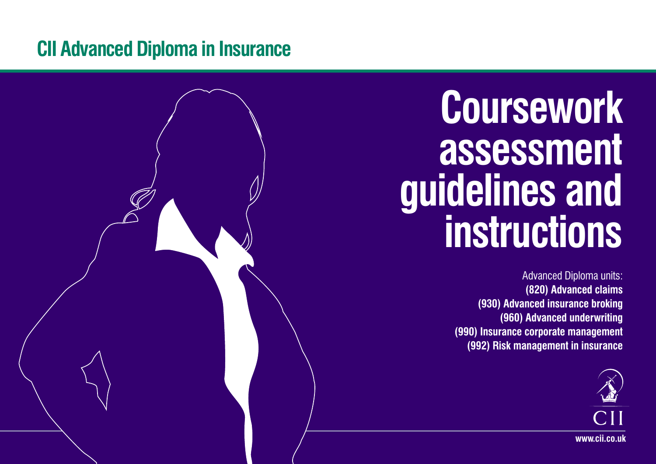# **CII Advanced Diploma in Insurance**



Advanced Diploma units: **(820) Advanced claims (930) Advanced insurance broking (960) Advanced underwriting (990) Insurance corporate management (992) Risk management in insurance** 



**www.cii.co.uk**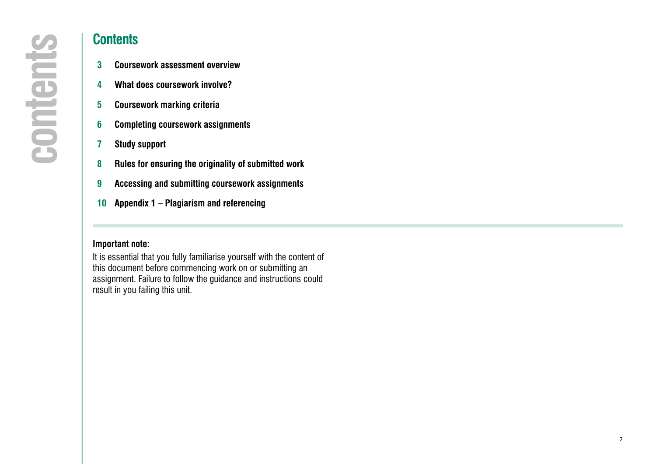- 
- 
- 
- 
- 
- 
- **9 [Accessing and submitting coursework assignments](#page-7-0)**
- **10 Appendix 1 Plagiarism and referencing**

### **Important note:**

It is essential that you fully familiarise yourself with the content of this document before commencing work on or submitting an assignment. Failure to follow the guidance and instructions could result in you failing this unit.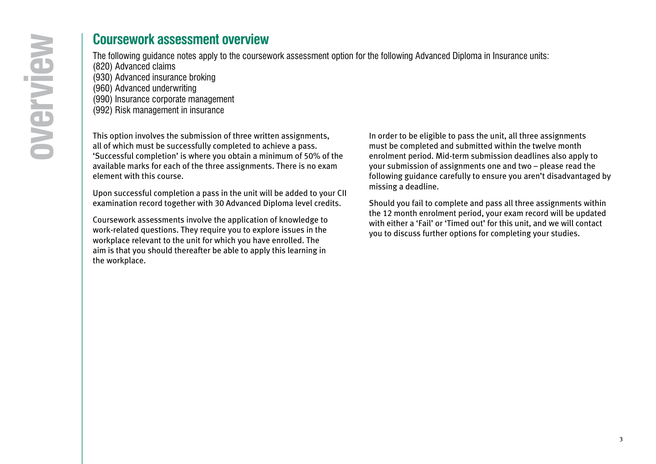## **Coursework assessment overview**

The following guidance notes apply to the coursework assessment option for the following Advanced Diploma in Insurance units:

- (820) Advanced claims (930) Advanced insurance broking
- (960) Advanced underwriting
- (990) Insurance corporate management
- (992) Risk management in insurance

This option involves the submission of three written assignments, all of which must be successfully completed to achieve a pass. 'Successful completion' is where you obtain a minimum of 50% of the available marks for each of the three assignments. There is no exam element with this course.

Upon successful completion a pass in the unit will be added to your CII examination record together with 30 Advanced Diploma level credits.

Coursework assessments involve the application of knowledge to work-related questions. They require you to explore issues in the workplace relevant to the unit for which you have enrolled. The aim is that you should thereafter be able to apply this learning in the workplace.

In order to be eligible to pass the unit, all three assignments must be completed and submitted within the twelve month enrolment period. Mid-term submission deadlines also apply to your submission of assignments one and two – please read the following guidance carefully to ensure you aren't disadvantaged by missing a deadline.

Should you fail to complete and pass all three assignments within the 12 month enrolment period, your exam record will be updated with either a 'Fail' or 'Timed out' for this unit, and we will contact you to discuss further options for completing your studies.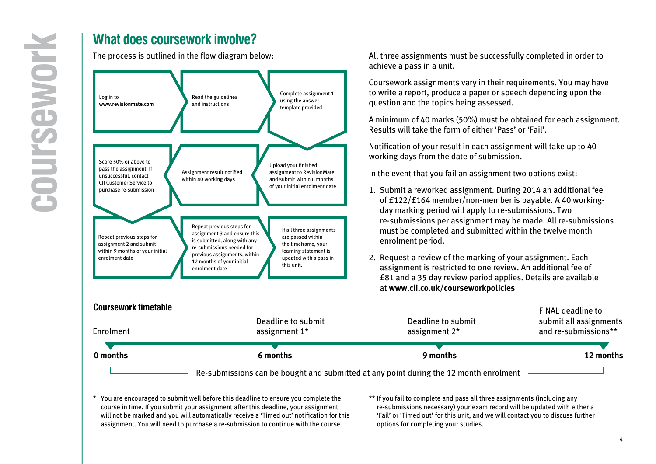

All three assignments must be successfully completed in order to achieve a pass in a unit.

Coursework assignments vary in their requirements. You may have to write a report, produce a paper or speech depending upon the question and the topics being assessed.

A minimum of 40 marks (50%) must be obtained for each assignment. Results will take the form of either 'Pass' or 'Fail'.

Notification of your result in each assignment will take up to 40 working days from the date of submission.

In the event that you fail an assignment two options exist:

- 1. Submit a reworked assignment. During 2014 an additional fee of £122/£164 member/non-member is payable. A 40 workingday marking period will apply to re-submissions. Two re-submissions per assignment may be made. All re-submissions must be completed and submitted within the twelve month enrolment period.
- 2. Request a review of the marking of your assignment. Each assignment is restricted to one review. An additional fee of £81 and a 35 day review period applies. Details are available at **www.cii.co.uk/courseworkpolicies**

| <b>UUUISEWUIK UIIIEIADIE</b><br>Enrolment                                             | Deadline to submit<br>assignment $1*$ | Deadline to submit<br>assignment $2^*$ | <b>FINAL deadline to</b><br>submit all assignments<br>and re-submissions** |  |
|---------------------------------------------------------------------------------------|---------------------------------------|----------------------------------------|----------------------------------------------------------------------------|--|
| 0 months                                                                              | 6 months                              | 9 months                               | 12 months                                                                  |  |
| Re-submissions can be bought and submitted at any point during the 12 month enrolment |                                       |                                        |                                                                            |  |

\* You are encouraged to submit well before this deadline to ensure you complete the course in time. If you submit your assignment after this deadline, your assignment will not be marked and you will automatically receive a 'Timed out' notification for this assignment. You will need to purchase a re-submission to continue with the course.

\*\* If you fail to complete and pass all three assignments (including any re-submissions necessary) your exam record will be updated with either a 'Fail' or 'Timed out' for this unit, and we will contact you to discuss further options for completing your studies.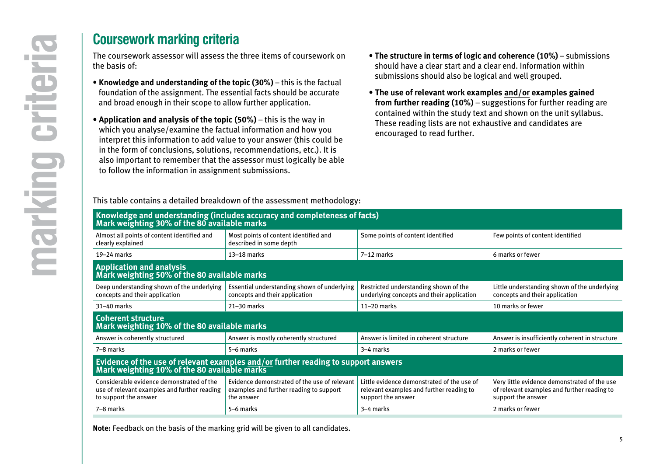<span id="page-4-0"></span>The coursework assessor will assess the three items of coursework on the basis of:

- **Knowledge and understanding of the topic (30%)** this is the factual foundation of the assignment. The essential facts should be accurate and broad enough in their scope to allow further application.
- **Application and analysis of the topic (50%)** this is the way in which you analyse/examine the factual information and how you interpret this information to add value to your answer (this could be in the form of conclusions, solutions, recommendations, etc.). It is also important to remember that the assessor must logically be able to follow the information in assignment submissions.

This table contains a detailed breakdown of the assessment methodology:

- **The structure in terms of logic and coherence (10%)** submissions should have a clear start and a clear end. Information within submissions should also be logical and well grouped.
- **The use of relevant work examples and/or examples gained from further reading (10%)** – suggestions for further reading are contained within the study text and shown on the unit syllabus. These reading lists are not exhaustive and candidates are encouraged to read further.

Knowledge and understanding (includes accuracy and completeness of facts)<br>Mark weighting 30% of the 80 available marks Almost all points of content identified and clearly explained Most points of content identified and described in some depth Some points of content identified Few points of content identified 19–24 marks 13–18 marks 7–12 marks 6 marks or fewer **Application and analysis Mark weighting 50% of the <sup>80</sup> available marks** Deep understanding shown of the underlying concepts and their application Essential understanding shown of underlying concepts and their application Restricted understanding shown of the underlying concepts and their application Little understanding shown of the underlying concepts and their application 31–40 marks | 21–30 marks | 11–20 marks | 10 marks or fewer **Coherent structure Mark weighting 10% of the 80 available marks** Answer is coherently structured Answer is mostly coherently structured Answer is limited in coherent structure Answer is insufficiently coherent in structure 7–8 marks | 5–6 marks | 3–4 marks | 2 marks or fewer **Evidence of the use of relevant examples and/or further reading to support answers Mark weighting 10% of the 80 available marks** Considerable evidence demonstrated of the use of relevant examples and further reading to support the answer Evidence demonstrated of the use of relevant examples and further reading to support the answer Little evidence demonstrated of the use of relevant examples and further reading to support the answer Very little evidence demonstrated of the use of relevant examples and further reading to support the answer 7–8 marks 2 marks 2 marks 3–6 marks 3–4 marks 3–4 marks 3–4 marks 3–4 marks 3–6 marks 3–4 marks 3–4 marks 3– 1

**Note:** Feedback on the basis of the marking grid will be given to all candidates.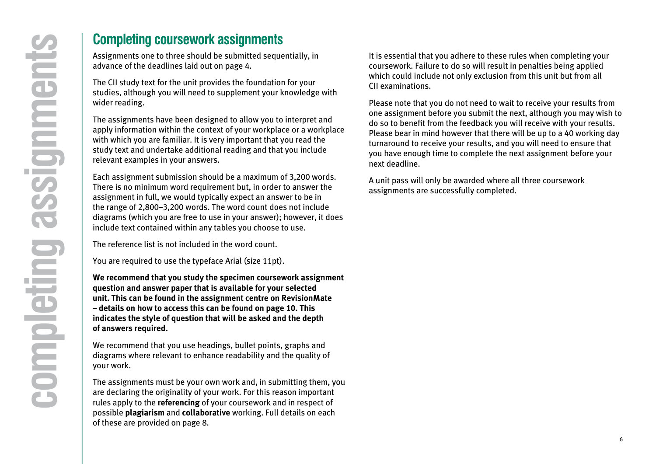<span id="page-5-0"></span>Assignments one to three should be submitted sequentially, in advance of the deadlines laid out on page 4.

The CII study text for the unit provides the foundation for your studies, although you will need to supplement your knowledge with wider reading.

The assignments have been designed to allow you to interpret and apply information within the context of your workplace or a workplace with which you are familiar. It is very important that you read the study text and undertake additional reading and that you include relevant examples in your answers.

Each assignment submission should be a maximum of 3,200 words. There is no minimum word requirement but, in order to answer the assignment in full, we would typically expect an answer to be in the range of 2,800–3,200 words. The word count does not include diagrams (which you are free to use in your answer); however, it does include text contained within any tables you choose to use.

The reference list is not included in the word count.

You are required to use the typeface Arial (size 11pt).

**We recommend that you study the specimen coursework assignment question and answer paper that is available for your selected unit. This can be found in the assignment centre on RevisionMate – details on how to access this can be found on page 10. This indicates the style of question that will be asked and the depth of answers required.**

We recommend that you use headings, bullet points, graphs and diagrams where relevant to enhance readability and the quality of your work.

The assignments must be your own work and, in submitting them, you are declaring the originality of your work. For this reason important rules apply to the **referencing** of your coursework and in respect of possible **plagiarism** and **collaborative** working. Full details on each of these are provided on page 8.

It is essential that you adhere to these rules when completing your coursework. Failure to do so will result in penalties being applied which could include not only exclusion from this unit but from all CII examinations.

Please note that you do not need to wait to receive your results from one assignment before you submit the next, although you may wish to do so to benefit from the feedback you will receive with your results. Please bear in mind however that there will be up to a 40 working day turnaround to receive your results, and you will need to ensure that you have enough time to complete the next assignment before your next deadline.

A unit pass will only be awarded where all three coursework assignments are successfully completed.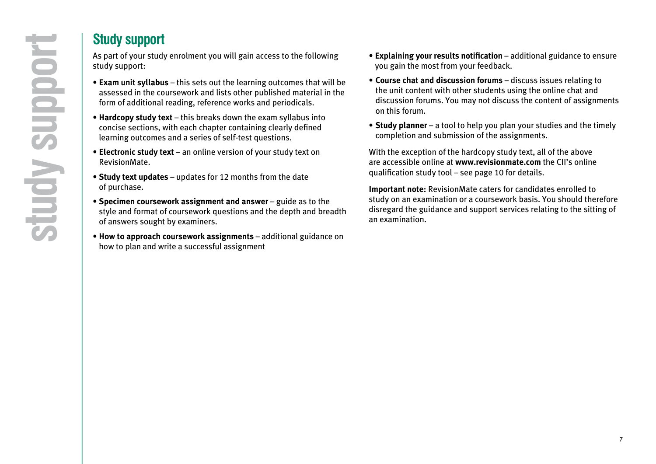## **Study support**

As part of your study enrolment you will gain access to the following study support:

- **Exam unit syllabus** this sets out the learning outcomes that will be assessed in the coursework and lists other published material in the form of additional reading, reference works and periodicals.
- **Hardcopy study text** this breaks down the exam syllabus into concise sections, with each chapter containing clearly defined learning outcomes and a series of self-test questions.
- **Electronic study text** an online version of your study text on RevisionMate.
- **Study text updates** updates for 12 months from the date of purchase.
- **Specimen coursework assignment and answer** guide as to the style and format of coursework questions and the depth and breadth of answers sought by examiners.
- **How to approach coursework assignments** additional guidance on how to plan and write a successful assignment
- **Explaining your results notification** additional guidance to ensure you gain the most from your feedback.
- **Course chat and discussion forums** discuss issues relating to the unit content with other students using the online chat and discussion forums. You may not discuss the content of assignments on this forum.
- **Study planner** a tool to help you plan your studies and the timely completion and submission of the assignments.

With the exception of the hardcopy study text, all of the above are accessible online at **[www.revisionmate.com](http://www.revisionmate.com/login/index.php)** the CII's online qualification study tool – see page 10 for details.

**Important note:** RevisionMate caters for candidates enrolled to study on an examination or a coursework basis. You should therefore disregard the guidance and support services relating to the sitting of an examination.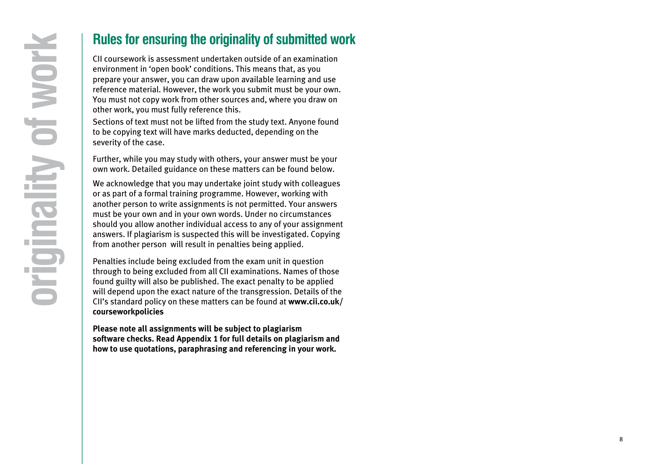## **Rules for ensuring the originality of submitted work**

environment in 'open book' conditions. This means that, as you prepare your answer, you can draw upon available learning and use reference material. However, the work you submit must be your own. You must not copy work from other sources and, where you draw on other work, you must fully reference this.

Sections of text must not be lifted from the study text. Anyone found to be copying text will have marks deducted, depending on the severity of the case.

Further, while you may study with others, your answer must be your own work. Detailed guidance on these matters can be found below.

<span id="page-7-0"></span>**Proper Standard CII** controllated the CIVI controllated and the section of the probably conditions. This means that, as you can draw upon available learning and use prepare your answer, you can draw upon available learnin We acknowledge that you may undertake joint study with colleagues or as part of a formal training programme. However, working with another person to write assignments is not permitted. Your answers must be your own and in your own words. Under no circumstances should you allow another individual access to any of your assignment answers. If plagiarism is suspected this will be investigated. Copying from another person will result in penalties being applied.

Penalties include being excluded from the exam unit in question through to being excluded from all CII examinations. Names of those found guilty will also be published. The exact penalty to be applied will depend upon the exact nature of the transgression. Details of the CII's standard policy on these matters can be found at **[www.cii.co.uk/](http://www.cii.co.uk/pages/about/examexperience.aspx) courseworkpolicies**

**Please note all assignments will be subject to plagiarism software checks. Read Appendix 1 for full details on plagiarism and how to use quotations, paraphrasing and referencing in your work.**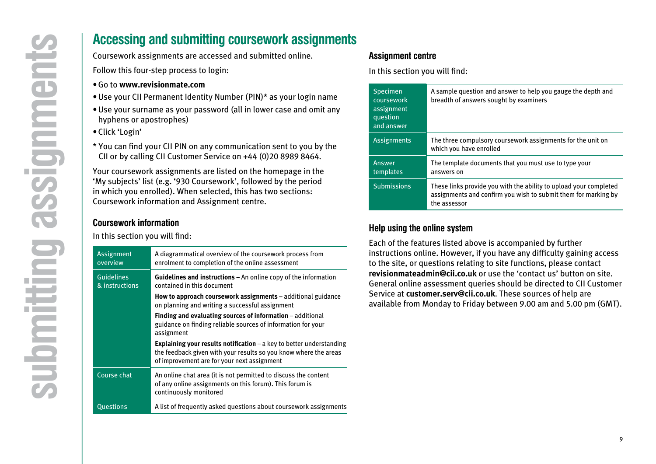- •Go to **[www.revisionmate.com](http://www.revisionmate.com/login/index.php)**
- •Use your CII Permanent Identity Number (PIN)\* as your login name
- Use your surname as your password (all in lower case and omit any hyphens or apostrophes)
- Click 'Login'
- \* You can find your CII PIN on any communication sent to you by the CII or by calling CII Customer Service on +44 (0)20 8989 8464.

### **Coursework information**

|                                                                 | <b>Accessing and submitting coursework assignments</b>                                                                                                                                                                                               |
|-----------------------------------------------------------------|------------------------------------------------------------------------------------------------------------------------------------------------------------------------------------------------------------------------------------------------------|
|                                                                 | Coursework assignments are accessed and submitted online.                                                                                                                                                                                            |
|                                                                 | Follow this four-step process to login:                                                                                                                                                                                                              |
|                                                                 | • Go to www.revisionmate.com                                                                                                                                                                                                                         |
|                                                                 | . Use your CII Permanent Identity Number (PIN)* as your login name                                                                                                                                                                                   |
| hyphens or apostrophes)                                         | • Use your surname as your password (all in lower case and omit any                                                                                                                                                                                  |
| · Click 'Login'                                                 |                                                                                                                                                                                                                                                      |
|                                                                 | * You can find your CII PIN on any communication sent to you by the<br>CII or by calling CII Customer Service on +44 (0)20 8989 8464.                                                                                                                |
|                                                                 | Your coursework assignments are listed on the homepage in the<br>'My subjects' list (e.g. '930 Coursework', followed by the period<br>in which you enrolled). When selected, this has two sections:<br>Coursework information and Assignment centre. |
| <b>Coursework information</b><br>In this section you will find: |                                                                                                                                                                                                                                                      |
| <b>Assignment</b><br>overview                                   | A diagrammatical overview of the coursework process from<br>enrolment to completion of the online assessment                                                                                                                                         |
| <b>Guidelines</b><br>& instructions                             | Guidelines and instructions - An online copy of the information<br>contained in this document                                                                                                                                                        |
|                                                                 | How to approach coursework assignments - additional guidance<br>on planning and writing a successful assignment                                                                                                                                      |
|                                                                 | Finding and evaluating sources of information - additional<br>guidance on finding reliable sources of information for your                                                                                                                           |
|                                                                 | assignment                                                                                                                                                                                                                                           |
|                                                                 | Explaining your results notification $-$ a key to better understanding<br>the feedback given with your results so you know where the areas<br>of improvement are for your next assignment                                                            |
| Course chat                                                     | An online chat area (it is not permitted to discuss the content<br>of any online assignments on this forum). This forum is<br>continuously monitored                                                                                                 |

### **Assignment centre**

In this section you will find:

| <b>Specimen</b><br>coursework<br>assignment<br>question<br>and answer | A sample question and answer to help you gauge the depth and<br>breadth of answers sought by examiners                                              |
|-----------------------------------------------------------------------|-----------------------------------------------------------------------------------------------------------------------------------------------------|
| <b>Assignments</b>                                                    | The three compulsory coursework assignments for the unit on<br>which you have enrolled                                                              |
| Answer<br>templates                                                   | The template documents that you must use to type your<br>answers on                                                                                 |
| <b>Submissions</b>                                                    | These links provide you with the ability to upload your completed<br>assignments and confirm you wish to submit them for marking by<br>the assessor |

### **Help using the online system**

Each of the features listed above is accompanied by further instructions online. However, if you have any difficulty gaining access to the site, or questions relating to site functions, please contact **[revisionmateadmin@cii.co.uk](mailto:revisionmateadmin%40cii.co.uk?subject=)** or use the 'contact us' button on site. General online assessment queries should be directed to CII Customer Service at **customer.serv@cii.co.uk**. These sources of help are available from Monday to Friday between 9.00 am and 5.00 pm (GMT).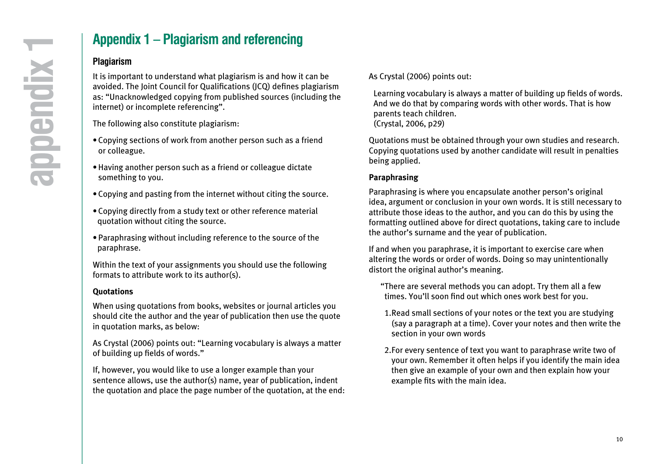## **Appendix 1 – Plagiarism and referencing**

### **Plagiarism**

It is important to understand what plagiarism is and how it can be avoided. The Joint Council for Qualifications (JCQ) defines plagiarism as: "Unacknowledged copying from published sources (including the internet) or incomplete referencing".

The following also constitute plagiarism:

- Copying sections of work from another person such as a friend or colleague.
- Having another person such as a friend or colleague dictate something to you.
- Copying and pasting from the internet without citing the source.
- Copying directly from a study text or other reference material quotation without citing the source.
- Paraphrasing without including reference to the source of the paraphrase.

Within the text of your assignments you should use the following formats to attribute work to its author(s).

#### **Quotations**

When using quotations from books, websites or journal articles you should cite the author and the year of publication then use the quote in quotation marks, as below:

As Crystal (2006) points out: "Learning vocabulary is always a matter of building up fields of words."

If, however, you would like to use a longer example than your sentence allows, use the author(s) name, year of publication, indent the quotation and place the page number of the quotation, at the end: As Crystal (2006) points out:

 Learning vocabulary is always a matter of building up fields of words. And we do that by comparing words with other words. That is how parents teach children. (Crystal, 2006, p29)

Quotations must be obtained through your own studies and research. Copying quotations used by another candidate will result in penalties being applied.

### **Paraphrasing**

Paraphrasing is where you encapsulate another person's original idea, argument or conclusion in your own words. It is still necessary to attribute those ideas to the author, and you can do this by using the formatting outlined above for direct quotations, taking care to include the author's surname and the year of publication.

If and when you paraphrase, it is important to exercise care when altering the words or order of words. Doing so may unintentionally distort the original author's meaning.

- "There are several methods you can adopt. Try them all a few times. You'll soon find out which ones work best for you.
- 1. Read small sections of your notes or the text you are studying (say a paragraph at a time). Cover your notes and then write the section in your own words
- 2. For every sentence of text you want to paraphrase write two of your own. Remember it often helps if you identify the main idea then give an example of your own and then explain how your example fits with the main idea.